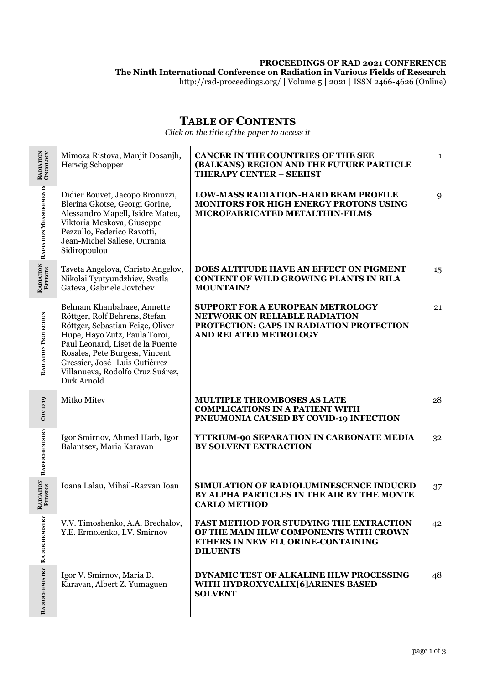## **PROCEEDINGS OF RAD 2021 CONFERENCE**

**The Ninth International Conference on Radiation in Various Fields of Research**

<http://rad-proceedings.org/> | Volume 5 | 2021 | ISSN 2466-4626 (Online)

## **TABLE OF CONTENTS**

*Click on the title of the paper to access it*

| RADIATION<br>ONCOLOGY         | Mimoza Ristova, Manjit Dosanjh,<br>Herwig Schopper                                                                                                                                                                                                                                         | <b>CANCER IN THE COUNTRIES OF THE SEE</b><br>(BALKANS) REGION AND THE FUTURE PARTICLE<br><b>THERAPY CENTER - SEEIIST</b>                        | $\mathbf{1}$ |
|-------------------------------|--------------------------------------------------------------------------------------------------------------------------------------------------------------------------------------------------------------------------------------------------------------------------------------------|-------------------------------------------------------------------------------------------------------------------------------------------------|--------------|
| <b>RADIATION MEASUREMENTS</b> | Didier Bouvet, Jacopo Bronuzzi,<br>Blerina Gkotse, Georgi Gorine,<br>Alessandro Mapell, Isidre Mateu,<br>Viktoria Meskova, Giuseppe<br>Pezzullo, Federico Ravotti,<br>Jean-Michel Sallese, Ourania<br>Sidiropoulou                                                                         | <b>LOW-MASS RADIATION-HARD BEAM PROFILE</b><br><b>MONITORS FOR HIGH ENERGY PROTONS USING</b><br>MICROFABRICATED METALTHIN-FILMS                 | 9            |
| RADIATION<br>EFFECTS          | Tsveta Angelova, Christo Angelov,<br>Nikolai Tyutyundzhiev, Svetla<br>Gateva, Gabriele Jovtchev                                                                                                                                                                                            | DOES ALTITUDE HAVE AN EFFECT ON PIGMENT<br><b>CONTENT OF WILD GROWING PLANTS IN RILA</b><br><b>MOUNTAIN?</b>                                    | 15           |
| RADIATION PROTECTION          | Behnam Khanbabaee, Annette<br>Röttger, Rolf Behrens, Stefan<br>Röttger, Sebastian Feige, Oliver<br>Hupe, Hayo Zutz, Paula Toroi,<br>Paul Leonard, Liset de la Fuente<br>Rosales, Pete Burgess, Vincent<br>Gressier, José-Luis Gutiérrez<br>Villanueva, Rodolfo Cruz Suárez,<br>Dirk Arnold | SUPPORT FOR A EUROPEAN METROLOGY<br><b>NETWORK ON RELIABLE RADIATION</b><br>PROTECTION: GAPS IN RADIATION PROTECTION<br>AND RELATED METROLOGY   | 21           |
| Covm19                        | Mitko Mitev                                                                                                                                                                                                                                                                                | <b>MULTIPLE THROMBOSES AS LATE</b><br><b>COMPLICATIONS IN A PATIENT WITH</b><br>PNEUMONIA CAUSED BY COVID-19 INFECTION                          | 28           |
| <b>RADIOCHEMISTRY</b>         | Igor Smirnov, Ahmed Harb, Igor<br>Balantsev, Maria Karavan                                                                                                                                                                                                                                 | YTTRIUM-90 SEPARATION IN CARBONATE MEDIA<br><b>BY SOLVENT EXTRACTION</b>                                                                        | 32           |
| RADIATION<br><b>PHYSICS</b>   | Ioana Lalau, Mihail-Razvan Ioan                                                                                                                                                                                                                                                            | SIMULATION OF RADIOLUMINESCENCE INDUCED<br>BY ALPHA PARTICLES IN THE AIR BY THE MONTE<br><b>CARLO METHOD</b>                                    | 37           |
| <b>RADIOCHEMISTRY</b>         | V.V. Timoshenko, A.A. Brechalov,<br>Y.E. Ermolenko, I.V. Smirnov                                                                                                                                                                                                                           | <b>FAST METHOD FOR STUDYING THE EXTRACTION</b><br>OF THE MAIN HLW COMPONENTS WITH CROWN<br>ETHERS IN NEW FLUORINE-CONTAINING<br><b>DILUENTS</b> | 42           |
| RADIOCHEMISTRY                | Igor V. Smirnov, Maria D.<br>Karavan, Albert Z. Yumaguen                                                                                                                                                                                                                                   | DYNAMIC TEST OF ALKALINE HLW PROCESSING<br>WITH HYDROXYCALIX[6]ARENES BASED<br><b>SOLVENT</b>                                                   | 48           |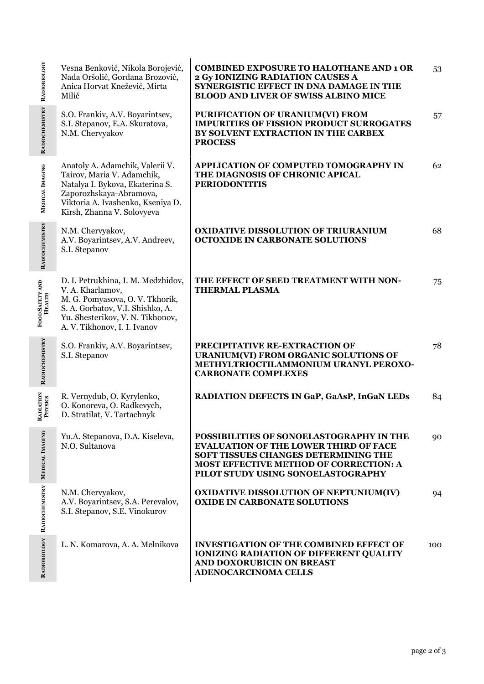| RADIOBIOLOGY              | Vesna Benković, Nikola Borojević,<br>Nada Oršolić, Gordana Brozović,<br>Anica Horvat Knežević, Mirta<br>Milić                                                                                     | <b>COMBINED EXPOSURE TO HALOTHANE AND 1 OR</b><br>2 Gy IONIZING RADIATION CAUSES A<br>SYNERGISTIC EFFECT IN DNA DAMAGE IN THE<br><b>BLOOD AND LIVER OF SWISS ALBINO MICE</b>                                            | 53  |
|---------------------------|---------------------------------------------------------------------------------------------------------------------------------------------------------------------------------------------------|-------------------------------------------------------------------------------------------------------------------------------------------------------------------------------------------------------------------------|-----|
| RADIOCHEMISTRY            | S.O. Frankiv, A.V. Boyarintsev,<br>S.I. Stepanov, E.A. Skuratova,<br>N.M. Chervyakov                                                                                                              | PURIFICATION OF URANIUM(VI) FROM<br><b>IMPURITIES OF FISSION PRODUCT SURROGATES</b><br>BY SOLVENT EXTRACTION IN THE CARBEX<br><b>PROCESS</b>                                                                            | 57  |
| MEDICAL IMAGING           | Anatoly A. Adamchik, Valerii V.<br>Tairov, Maria V. Adamchik,<br>Natalya I. Bykova, Ekaterina S.<br>Zaporozhskaya-Abramova,<br>Viktoria A. Ivashenko, Kseniya D.<br>Kirsh, Zhanna V. Solovyeva    | APPLICATION OF COMPUTED TOMOGRAPHY IN<br>THE DIAGNOSIS OF CHRONIC APICAL<br><b>PERIODONTITIS</b>                                                                                                                        | 62  |
| RADIOCHEMISTRY            | N.M. Chervyakov,<br>A.V. Boyarintsev, A.V. Andreev,<br>S.I. Stepanov                                                                                                                              | <b>OXIDATIVE DISSOLUTION OF TRIURANIUM</b><br>OCTOXIDE IN CARBONATE SOLUTIONS                                                                                                                                           | 68  |
| FOOD SAFETY AND<br>HEALTH | D. I. Petrukhina, I. M. Medzhidov,<br>V. A. Kharlamov,<br>M. G. Pomyasova, O. V. Tkhorik,<br>S. A. Gorbatov, V.I. Shishko, A.<br>Yu. Shesterikov, V. N. Tikhonov,<br>A. V. Tikhonov, I. I. Ivanov | THE EFFECT OF SEED TREATMENT WITH NON-<br><b>THERMAL PLASMA</b>                                                                                                                                                         | 75  |
| RADIOCHEMISTRY            | S.O. Frankiv, A.V. Boyarintsev,<br>S.I. Stepanov                                                                                                                                                  | PRECIPITATIVE RE-EXTRACTION OF<br>URANIUM(VI) FROM ORGANIC SOLUTIONS OF<br>METHYLTRIOCTILAMMONIUM URANYL PEROXO-<br><b>CARBONATE COMPLEXES</b>                                                                          | 78  |
| RADIATION<br>PHYSICS      | R. Vernydub, O. Kyrylenko,<br>O. Konoreva, O. Radkevych,<br>D. Stratilat, V. Tartachnyk                                                                                                           | RADIATION DEFECTS IN GaP, GaAsP, InGaN LEDs                                                                                                                                                                             | 84  |
| MEDICAL IMAGING           | Yu.A. Stepanova, D.A. Kiseleva,<br>N.O. Sultanova                                                                                                                                                 | POSSIBILITIES OF SONOELASTOGRAPHY IN THE<br><b>EVALUATION OF THE LOWER THIRD OF FACE</b><br>SOFT TISSUES CHANGES DETERMINING THE<br><b>MOST EFFECTIVE METHOD OF CORRECTION: A</b><br>PILOT STUDY USING SONOELASTOGRAPHY | 90  |
| <b>RADIOCHEMISTRY</b>     | N.M. Chervyakov,<br>A.V. Boyarintsev, S.A. Perevalov,<br>S.I. Stepanov, S.E. Vinokurov                                                                                                            | <b>OXIDATIVE DISSOLUTION OF NEPTUNIUM(IV)</b><br><b>OXIDE IN CARBONATE SOLUTIONS</b>                                                                                                                                    | 94  |
| RADIOBIOLOGY              | L. N. Komarova, A. A. Melnikova                                                                                                                                                                   | <b>INVESTIGATION OF THE COMBINED EFFECT OF</b><br><b>IONIZING RADIATION OF DIFFERENT QUALITY</b><br>AND DOXORUBICIN ON BREAST<br><b>ADENOCARCINOMA CELLS</b>                                                            | 100 |